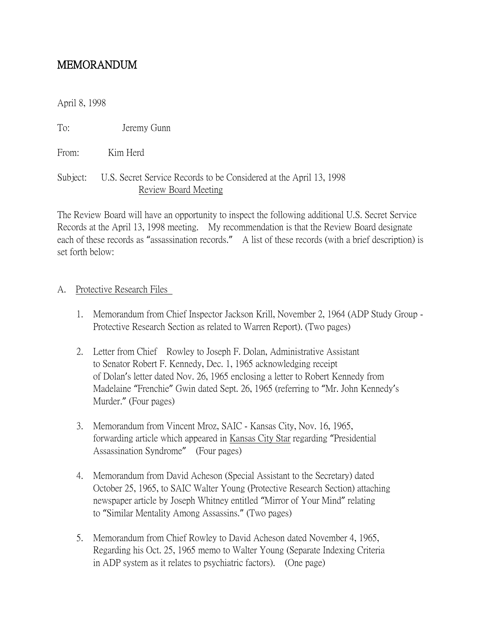# MEMORANDUM

April 8, 1998

To: Jeremy Gunn

From: Kim Herd

#### Subject: U.S. Secret Service Records to be Considered at the April 13, 1998 Review Board Meeting

The Review Board will have an opportunity to inspect the following additional U.S. Secret Service Records at the April 13, 1998 meeting. My recommendation is that the Review Board designate each of these records as "assassination records." A list of these records (with a brief description) is set forth below:

#### A. Protective Research Files

- 1. Memorandum from Chief Inspector Jackson Krill, November 2, 1964 (ADP Study Group Protective Research Section as related to Warren Report). (Two pages)
- 2. Letter from Chief Rowley to Joseph F. Dolan, Administrative Assistant to Senator Robert F. Kennedy, Dec. 1, 1965 acknowledging receipt of Dolan's letter dated Nov. 26, 1965 enclosing a letter to Robert Kennedy from Madelaine "Frenchie" Gwin dated Sept. 26, 1965 (referring to "Mr. John Kennedy's Murder." (Four pages)
- 3. Memorandum from Vincent Mroz, SAIC Kansas City, Nov. 16, 1965, forwarding article which appeared in Kansas City Star regarding "Presidential Assassination Syndrome" (Four pages)
- 4. Memorandum from David Acheson (Special Assistant to the Secretary) dated October 25, 1965, to SAIC Walter Young (Protective Research Section) attaching newspaper article by Joseph Whitney entitled "Mirror of Your Mind" relating to "Similar Mentality Among Assassins." (Two pages)
- 5. Memorandum from Chief Rowley to David Acheson dated November 4, 1965, Regarding his Oct. 25, 1965 memo to Walter Young (Separate Indexing Criteria in ADP system as it relates to psychiatric factors). (One page)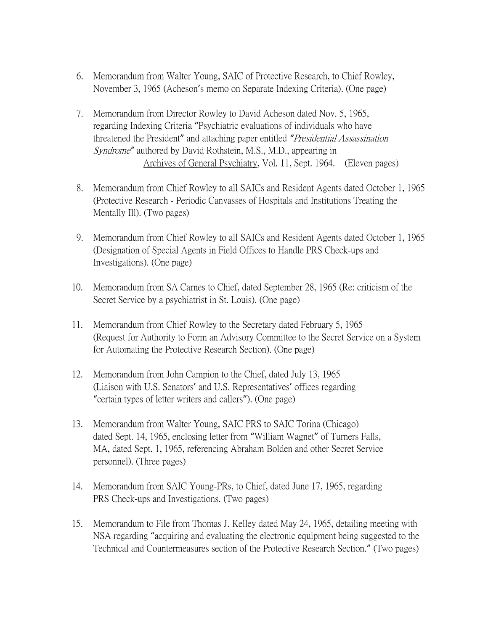- 6. Memorandum from Walter Young, SAIC of Protective Research, to Chief Rowley, November 3, 1965 (Acheson's memo on Separate Indexing Criteria). (One page)
- 7. Memorandum from Director Rowley to David Acheson dated Nov. 5, 1965, regarding Indexing Criteria "Psychiatric evaluations of individuals who have threatened the President" and attaching paper entitled *"*Presidential Assassination Syndrome*"* authored by David Rothstein, M.S., M.D., appearing in Archives of General Psychiatry, Vol. 11, Sept. 1964. (Eleven pages)
- 8. Memorandum from Chief Rowley to all SAICs and Resident Agents dated October 1, 1965 (Protective Research - Periodic Canvasses of Hospitals and Institutions Treating the Mentally Ill). (Two pages)
- 9. Memorandum from Chief Rowley to all SAICs and Resident Agents dated October 1, 1965 (Designation of Special Agents in Field Offices to Handle PRS Check-ups and Investigations). (One page)
- 10. Memorandum from SA Carnes to Chief, dated September 28, 1965 (Re: criticism of the Secret Service by a psychiatrist in St. Louis). (One page)
- 11. Memorandum from Chief Rowley to the Secretary dated February 5, 1965 (Request for Authority to Form an Advisory Committee to the Secret Service on a System for Automating the Protective Research Section). (One page)
- 12. Memorandum from John Campion to the Chief, dated July 13, 1965 (Liaison with U.S. Senators' and U.S. Representatives' offices regarding "certain types of letter writers and callers"). (One page)
- 13. Memorandum from Walter Young, SAIC PRS to SAIC Torina (Chicago) dated Sept. 14, 1965, enclosing letter from "William Wagnet" of Turners Falls, MA, dated Sept. 1, 1965, referencing Abraham Bolden and other Secret Service personnel). (Three pages)
- 14. Memorandum from SAIC Young-PRs, to Chief, dated June 17, 1965, regarding PRS Check-ups and Investigations. (Two pages)
- 15. Memorandum to File from Thomas J. Kelley dated May 24, 1965, detailing meeting with NSA regarding "acquiring and evaluating the electronic equipment being suggested to the Technical and Countermeasures section of the Protective Research Section." (Two pages)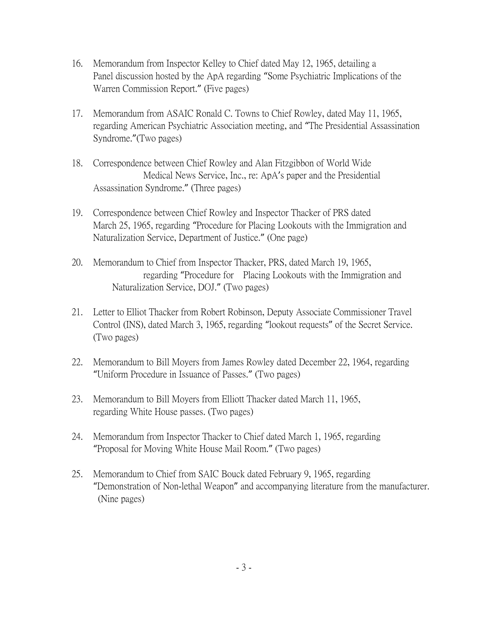- 16. Memorandum from Inspector Kelley to Chief dated May 12, 1965, detailing a Panel discussion hosted by the ApA regarding "Some Psychiatric Implications of the Warren Commission Report." (Five pages)
- 17. Memorandum from ASAIC Ronald C. Towns to Chief Rowley, dated May 11, 1965, regarding American Psychiatric Association meeting, and "The Presidential Assassination Syndrome."(Two pages)
- 18. Correspondence between Chief Rowley and Alan Fitzgibbon of World Wide Medical News Service, Inc., re: ApA's paper and the Presidential Assassination Syndrome." (Three pages)
- 19. Correspondence between Chief Rowley and Inspector Thacker of PRS dated March 25, 1965, regarding "Procedure for Placing Lookouts with the Immigration and Naturalization Service, Department of Justice." (One page)
- 20. Memorandum to Chief from Inspector Thacker, PRS, dated March 19, 1965, regarding "Procedure for Placing Lookouts with the Immigration and Naturalization Service, DOJ." (Two pages)
- 21. Letter to Elliot Thacker from Robert Robinson, Deputy Associate Commissioner Travel Control (INS), dated March 3, 1965, regarding "lookout requests" of the Secret Service. (Two pages)
- 22. Memorandum to Bill Moyers from James Rowley dated December 22, 1964, regarding "Uniform Procedure in Issuance of Passes." (Two pages)
- 23. Memorandum to Bill Moyers from Elliott Thacker dated March 11, 1965, regarding White House passes. (Two pages)
- 24. Memorandum from Inspector Thacker to Chief dated March 1, 1965, regarding "Proposal for Moving White House Mail Room." (Two pages)
- 25. Memorandum to Chief from SAIC Bouck dated February 9, 1965, regarding "Demonstration of Non-lethal Weapon" and accompanying literature from the manufacturer. (Nine pages)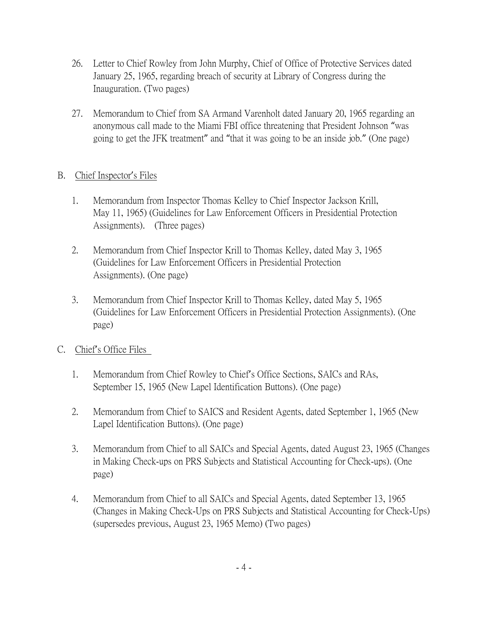- 26. Letter to Chief Rowley from John Murphy, Chief of Office of Protective Services dated January 25, 1965, regarding breach of security at Library of Congress during the Inauguration. (Two pages)
- 27. Memorandum to Chief from SA Armand Varenholt dated January 20, 1965 regarding an anonymous call made to the Miami FBI office threatening that President Johnson "was going to get the JFK treatment" and "that it was going to be an inside job." (One page)

### B. Chief Inspector's Files

- 1. Memorandum from Inspector Thomas Kelley to Chief Inspector Jackson Krill, May 11, 1965) (Guidelines for Law Enforcement Officers in Presidential Protection Assignments). (Three pages)
- 2. Memorandum from Chief Inspector Krill to Thomas Kelley, dated May 3, 1965 (Guidelines for Law Enforcement Officers in Presidential Protection Assignments). (One page)
- 3. Memorandum from Chief Inspector Krill to Thomas Kelley, dated May 5, 1965 (Guidelines for Law Enforcement Officers in Presidential Protection Assignments). (One page)

#### C. Chief's Office Files

- 1. Memorandum from Chief Rowley to Chief's Office Sections, SAICs and RAs, September 15, 1965 (New Lapel Identification Buttons). (One page)
- 2. Memorandum from Chief to SAICS and Resident Agents, dated September 1, 1965 (New Lapel Identification Buttons). (One page)
- 3. Memorandum from Chief to all SAICs and Special Agents, dated August 23, 1965 (Changes in Making Check-ups on PRS Subjects and Statistical Accounting for Check-ups). (One page)
- 4. Memorandum from Chief to all SAICs and Special Agents, dated September 13, 1965 (Changes in Making Check-Ups on PRS Subjects and Statistical Accounting for Check-Ups) (supersedes previous, August 23, 1965 Memo) (Two pages)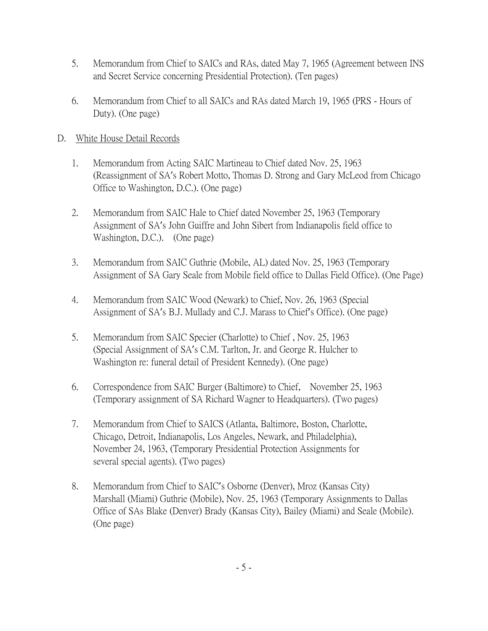- 5. Memorandum from Chief to SAICs and RAs, dated May 7, 1965 (Agreement between INS and Secret Service concerning Presidential Protection). (Ten pages)
- 6. Memorandum from Chief to all SAICs and RAs dated March 19, 1965 (PRS Hours of Duty). (One page)

#### D. White House Detail Records

- 1. Memorandum from Acting SAIC Martineau to Chief dated Nov. 25, 1963 (Reassignment of SA's Robert Motto, Thomas D. Strong and Gary McLeod from Chicago Office to Washington, D.C.). (One page)
- 2. Memorandum from SAIC Hale to Chief dated November 25, 1963 (Temporary Assignment of SA's John Guiffre and John Sibert from Indianapolis field office to Washington, D.C.). (One page)
- 3. Memorandum from SAIC Guthrie (Mobile, AL) dated Nov. 25, 1963 (Temporary Assignment of SA Gary Seale from Mobile field office to Dallas Field Office). (One Page)
- 4. Memorandum from SAIC Wood (Newark) to Chief, Nov. 26, 1963 (Special Assignment of SA's B.J. Mullady and C.J. Marass to Chief's Office). (One page)
- 5. Memorandum from SAIC Specier (Charlotte) to Chief , Nov. 25, 1963 (Special Assignment of SA's C.M. Tarlton, Jr. and George R. Hulcher to Washington re: funeral detail of President Kennedy). (One page)
- 6. Correspondence from SAIC Burger (Baltimore) to Chief, November 25, 1963 (Temporary assignment of SA Richard Wagner to Headquarters). (Two pages)
- 7. Memorandum from Chief to SAICS (Atlanta, Baltimore, Boston, Charlotte, Chicago, Detroit, Indianapolis, Los Angeles, Newark, and Philadelphia), November 24, 1963, (Temporary Presidential Protection Assignments for several special agents). (Two pages)
- 8. Memorandum from Chief to SAIC's Osborne (Denver), Mroz (Kansas City) Marshall (Miami) Guthrie (Mobile), Nov. 25, 1963 (Temporary Assignments to Dallas Office of SAs Blake (Denver) Brady (Kansas City), Bailey (Miami) and Seale (Mobile). (One page)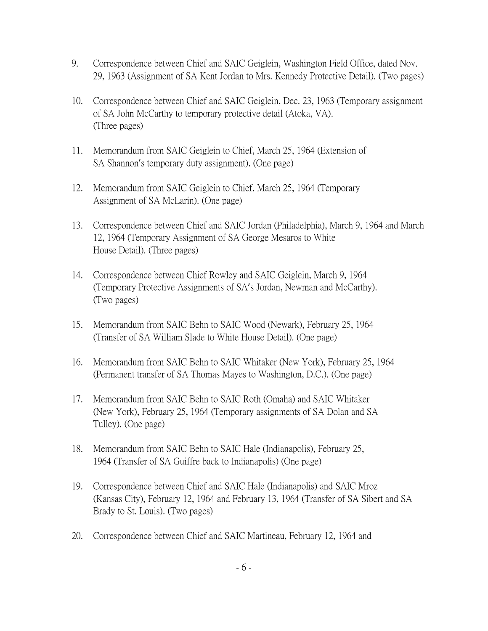- 9. Correspondence between Chief and SAIC Geiglein, Washington Field Office, dated Nov. 29, 1963 (Assignment of SA Kent Jordan to Mrs. Kennedy Protective Detail). (Two pages)
- 10. Correspondence between Chief and SAIC Geiglein, Dec. 23, 1963 (Temporary assignment of SA John McCarthy to temporary protective detail (Atoka, VA). (Three pages)
- 11. Memorandum from SAIC Geiglein to Chief, March 25, 1964 (Extension of SA Shannon's temporary duty assignment). (One page)
- 12. Memorandum from SAIC Geiglein to Chief, March 25, 1964 (Temporary Assignment of SA McLarin). (One page)
- 13. Correspondence between Chief and SAIC Jordan (Philadelphia), March 9, 1964 and March 12, 1964 (Temporary Assignment of SA George Mesaros to White House Detail). (Three pages)
- 14. Correspondence between Chief Rowley and SAIC Geiglein, March 9, 1964 (Temporary Protective Assignments of SA's Jordan, Newman and McCarthy). (Two pages)
- 15. Memorandum from SAIC Behn to SAIC Wood (Newark), February 25, 1964 (Transfer of SA William Slade to White House Detail). (One page)
- 16. Memorandum from SAIC Behn to SAIC Whitaker (New York), February 25, 1964 (Permanent transfer of SA Thomas Mayes to Washington, D.C.). (One page)
- 17. Memorandum from SAIC Behn to SAIC Roth (Omaha) and SAIC Whitaker (New York), February 25, 1964 (Temporary assignments of SA Dolan and SA Tulley). (One page)
- 18. Memorandum from SAIC Behn to SAIC Hale (Indianapolis), February 25, 1964 (Transfer of SA Guiffre back to Indianapolis) (One page)
- 19. Correspondence between Chief and SAIC Hale (Indianapolis) and SAIC Mroz (Kansas City), February 12, 1964 and February 13, 1964 (Transfer of SA Sibert and SA Brady to St. Louis). (Two pages)
- 20. Correspondence between Chief and SAIC Martineau, February 12, 1964 and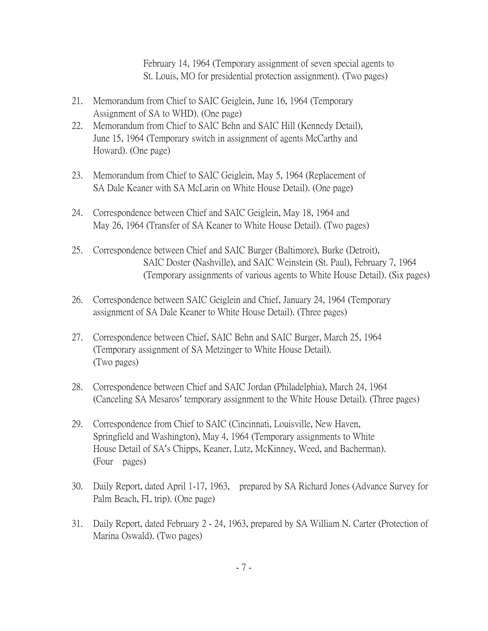February 14, 1964 (Temporary assignment of seven special agents to St. Louis, MO for presidential protection assignment). (Two pages)

- 21. Memorandum from Chief to SAIC Geiglein, June 16, 1964 (Temporary Assignment of SA to WHD). (One page)
- 22. Memorandum from Chief to SAIC Behn and SAIC Hill (Kennedy Detail), June 15, 1964 (Temporary switch in assignment of agents McCarthy and Howard). (One page)
- 23. Memorandum from Chief to SAIC Geiglein, May 5, 1964 (Replacement of SA Dale Keaner with SA McLarin on White House Detail). (One page)
- 24. Correspondence between Chief and SAIC Geiglein, May 18, 1964 and May 26, 1964 (Transfer of SA Keaner to White House Detail). (Two pages)
- 25. Correspondence between Chief and SAIC Burger (Baltimore), Burke (Detroit), SAIC Doster (Nashville), and SAIC Weinstein (St. Paul), February 7, 1964 (Temporary assignments of various agents to White House Detail). (Six pages)
- 26. Correspondence between SAIC Geiglein and Chief, January 24, 1964 (Temporary assignment of SA Dale Keaner to White House Detail). (Three pages)
- 27. Correspondence between Chief, SAIC Behn and SAIC Burger, March 25, 1964 (Temporary assignment of SA Metzinger to White House Detail). (Two pages)
- 28. Correspondence between Chief and SAIC Jordan (Philadelphia), March 24, 1964 (Canceling SA Mesaros' temporary assignment to the White House Detail). (Three pages)
- 29. Correspondence from Chief to SAIC (Cincinnati, Louisville, New Haven, Springfield and Washington), May 4, 1964 (Temporary assignments to White House Detail of SA's Chipps, Keaner, Lutz, McKinney, Weed, and Bacherman). (Four pages)
- 30. Daily Report, dated April 1-17, 1963, prepared by SA Richard Jones (Advance Survey for Palm Beach, FL trip). (One page)
- 31. Daily Report, dated February 2 24, 1963, prepared by SA William N. Carter (Protection of Marina Oswald). (Two pages)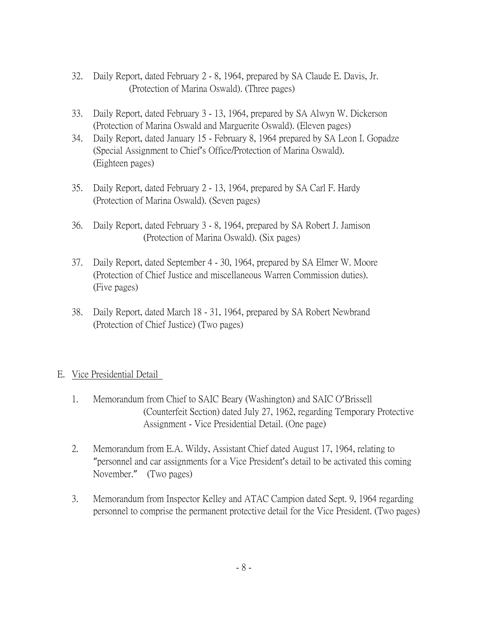- 32. Daily Report, dated February 2 8, 1964, prepared by SA Claude E. Davis, Jr. (Protection of Marina Oswald). (Three pages)
- 33. Daily Report, dated February 3 13, 1964, prepared by SA Alwyn W. Dickerson (Protection of Marina Oswald and Marguerite Oswald). (Eleven pages)
- 34. Daily Report, dated January 15 February 8, 1964 prepared by SA Leon I. Gopadze (Special Assignment to Chief's Office/Protection of Marina Oswald). (Eighteen pages)
- 35. Daily Report, dated February 2 13, 1964, prepared by SA Carl F. Hardy (Protection of Marina Oswald). (Seven pages)
- 36. Daily Report, dated February 3 8, 1964, prepared by SA Robert J. Jamison (Protection of Marina Oswald). (Six pages)
- 37. Daily Report, dated September 4 30, 1964, prepared by SA Elmer W. Moore (Protection of Chief Justice and miscellaneous Warren Commission duties). (Five pages)
- 38. Daily Report, dated March 18 31, 1964, prepared by SA Robert Newbrand (Protection of Chief Justice) (Two pages)

#### E. Vice Presidential Detail

- 1. Memorandum from Chief to SAIC Beary (Washington) and SAIC O'Brissell (Counterfeit Section) dated July 27, 1962, regarding Temporary Protective Assignment - Vice Presidential Detail. (One page)
- 2. Memorandum from E.A. Wildy, Assistant Chief dated August 17, 1964, relating to "personnel and car assignments for a Vice President's detail to be activated this coming November." (Two pages)
- 3. Memorandum from Inspector Kelley and ATAC Campion dated Sept. 9, 1964 regarding personnel to comprise the permanent protective detail for the Vice President. (Two pages)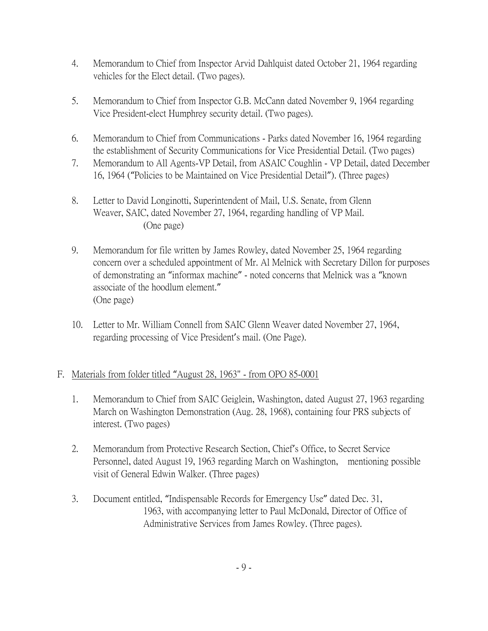- 4. Memorandum to Chief from Inspector Arvid Dahlquist dated October 21, 1964 regarding vehicles for the Elect detail. (Two pages).
- 5. Memorandum to Chief from Inspector G.B. McCann dated November 9, 1964 regarding Vice President-elect Humphrey security detail. (Two pages).
- 6. Memorandum to Chief from Communications Parks dated November 16, 1964 regarding the establishment of Security Communications for Vice Presidential Detail. (Two pages)
- 7. Memorandum to All Agents-VP Detail, from ASAIC Coughlin VP Detail, dated December 16, 1964 ("Policies to be Maintained on Vice Presidential Detail"). (Three pages)
- 8. Letter to David Longinotti, Superintendent of Mail, U.S. Senate, from Glenn Weaver, SAIC, dated November 27, 1964, regarding handling of VP Mail. (One page)
- 9. Memorandum for file written by James Rowley, dated November 25, 1964 regarding concern over a scheduled appointment of Mr. Al Melnick with Secretary Dillon for purposes of demonstrating an "informax machine" - noted concerns that Melnick was a "known associate of the hoodlum element." (One page)
- 10. Letter to Mr. William Connell from SAIC Glenn Weaver dated November 27, 1964, regarding processing of Vice President's mail. (One Page).

## F. Materials from folder titled "August 28, 1963" - from OPO 85-0001

- 1. Memorandum to Chief from SAIC Geiglein, Washington, dated August 27, 1963 regarding March on Washington Demonstration (Aug. 28, 1968), containing four PRS subjects of interest. (Two pages)
- 2. Memorandum from Protective Research Section, Chief's Office, to Secret Service Personnel, dated August 19, 1963 regarding March on Washington, mentioning possible visit of General Edwin Walker. (Three pages)
- 3. Document entitled, "Indispensable Records for Emergency Use" dated Dec. 31, 1963, with accompanying letter to Paul McDonald, Director of Office of Administrative Services from James Rowley. (Three pages).